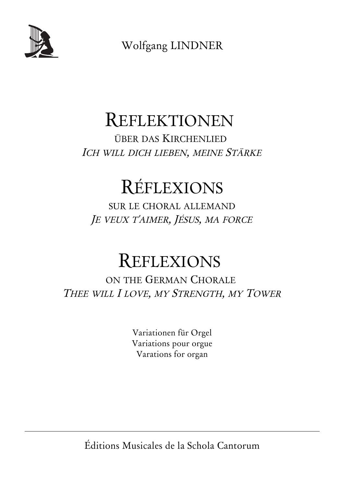

Wolfgang LINDNER

# REFLEKTIONEN

ÜBER DAS KIRCHENLIED ICH WILL DICH LIEBEN, MEINE STÄRKE

# RÉFLEXIONS

SUR LE CHORAL ALLEMAND J<sup>E</sup> VEUX <sup>T</sup>'AIMER, JÉSUS, MA FORCE

# REFLEXIONS

ON THE GERMAN CHORALE THEE WILL I LOVE, MY STRENGTH, MY TOWER

> Variationen für Orgel Variations pour orgue Varations for organ

Éditions Musicales de la Schola Cantorum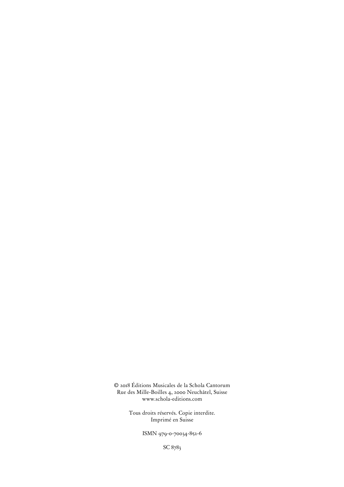© 2018 Éditions Musicales de la Schola Cantorum Rue des Mille-Boilles 4, 2000 Neuchâtel, Suisse www.schola-editions.com

> Tous droits réservés. Copie interdite. Imprimé en Suisse

> > ISMN 979-0-70034-852-6

SC 8783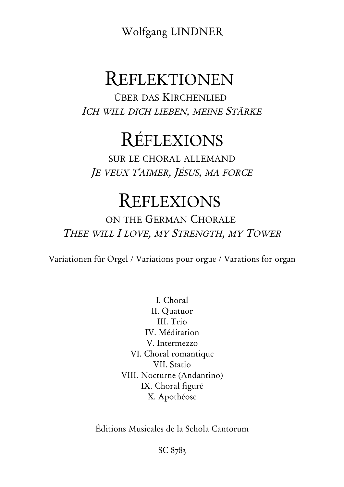Wolfgang LINDNER

### REFLEKTIONEN

ÜBER DAS KIRCHENLIED ICH WILL DICH LIEBEN, MEINE STÄRKE

# RÉFLEXIONS

SUR LE CHORAL ALLEMAND J<sup>E</sup> VEUX <sup>T</sup>'AIMER, JÉSUS, MA FORCE

## REFLEXIONS

ON THE GERMAN CHORALE THEE WILL I LOVE, MY STRENGTH, MY TOWER

Variationen für Orgel / Variations pour orgue / Varations for organ

I. Choral II. Quatuor III. Trio IV. Méditation V. Intermezzo VI. Choral romantique VII. Statio VIII. Nocturne (Andantino) IX. Choral figuré X. Apothéose

Éditions Musicales de la Schola Cantorum

SC 8783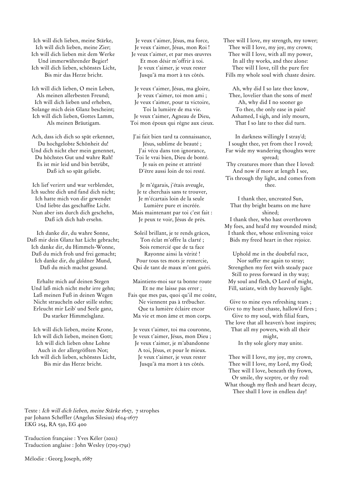Ich will dich lieben, meine Stärke, Ich will dich lieben, meine Zier; Ich will dich lieben mit dem Werke Und immerwährender Begier! Ich will dich lieben, schönstes Licht, Bis mir das Herze bricht.

Ich will dich lieben, O mein Leben, Als meinen allerbesten Freund; Ich will dich lieben und erheben, Solange mich dein Glanz bescheint; Ich will dich lieben, Gottes Lamm, Als meinen Bräutigam.

Ach, dass ich dich so spät erkennet, Du hochgelobte Schönheit du! Und dich nicht eher mein genennet, Du höchstes Gut und wahre Ruh! Es ist mir leid und bin betrübt, Daß ich so spät geliebt.

Ich lief verirrt und war verblendet, Ich suchte dich und fand dich nicht; Ich hatte mich von dir gewendet Und liebte das geschaffne Licht. Nun aber ists durch dich geschehn, Daß ich dich hab ersehn.

Ich danke dir, du wahre Sonne, Daß mir dein Glanz hat Licht gebracht; Ich danke dir, du Himmels-Wonne, Daß du mich froh und frei gemacht; Ich danke dir, du güldner Mund, Daß du mich machst gesund.

Erhalte mich auf deinen Stegen Und laß mich nicht mehr irre gehn; Laß meinen Fuß in deinen Wegen Nicht straucheln oder stille stehn; Erleucht mir Leib' und Seele ganz, Du starker Himmelsglanz.

Ich will dich lieben, meine Krone, Ich will dich lieben, meinen Gott; Ich will dich lieben ohne Lohne Auch in der allergrößten Not; Ich will dich lieben, schönstes Licht, Bis mir das Herze bricht.

Je veux t'aimer, Jésus, ma force, Je veux t'aimer, Jésus, mon Roi ! Je veux t'aimer, et par mes œuvres Et mon désir m'offrir à toi. Je veux t'aimer, je veux rester Jusqu'à ma mort à tes côtés.

Je veux t'aimer, Jésus, ma gloire, Je veux t'aimer, toi mon ami ; Je veux t'aimer, pour ta victoire, Toi la lumière de ma vie. Je veux t'aimer, Agneau de Dieu, Toi mon époux qui règne aux cieux.

J'ai fait bien tard ta connaissance, Jésus, sublime de beauté ; J'ai vécu dans ton ignorance, Toi le vrai bien, Dieu de bonté. Je suis en peine et attristé D'être aussi loin de toi resté.

Je m'égarais, j'étais aveugle, Je te cherchais sans te trouver, Je m'écartais loin de la seule Lumière pure et incréée. Mais maintenant par toi c'est fait : Je peux te voir, Jésus de près.

Soleil brillant, je te rends grâces, Ton éclat m'offre la clarté ; Sois remercié que de ta face Rayonne ainsi la vérité ! Pour tous tes mots je remercie, Qui de tant de maux m'ont guéri.

Maintiens-moi sur ta bonne route Et ne me laisse pas errer ; Fais que mes pas, quoi qu'il me coûte, Ne viennent pas à trébucher. Que ta lumière éclaire encor Ma vie et mon âme et mon corps.

Je veux t'aimer, toi ma couronne, Je veux t'aimer, Jésus, mon Dieu ; Je veux t'aimer, je m'abandonne A toi, Jésus, et pour le mieux. Je veux t'aimer, je veux rester Jusqu'à ma mort à tes côtés.

Thee will I love, my strength, my tower; Thee will I love, my joy, my crown; Thee will I love, with all my power, In all thy works, and thee alone: Thee will I love, till the pure fire Fills my whole soul with chaste desire.

Ah, why did I so late thee know, Thee, lovelier than the sons of men! Ah, why did I no sooner go To thee, the only ease in pain! Ashamed, I sigh, and inly mourn, That I so late to thee did turn.

In darkness willingly I stray'd; I sought thee, yet from thee I roved; Far wide my wandering thoughts were spread; Thy creatures more than thee I loved: And now if more at length I see, 'Tis through thy light, and comes from thee.

I thank thee, uncreated Sun, That thy bright beams on me have shined; I thank thee, who hast overthrown My foes, and heal'd my wounded mind; I thank thee, whose enlivening voice Bids my freed heart in thee rejoice.

Uphold me in the doubtful race, Nor suffer me again to stray; Strengthen my feet with steady pace Still to press forward in thy way; My soul and flesh, O Lord of might, Fill, satiate, with thy heavenly light.

Give to mine eyes refreshing tears ; Give to my heart chaste, hallow'd fires ; Give to my soul, with filial fears, The love that all heaven's host inspires; That all my powers, with all their might, In thy sole glory may unite.

Thee will I love, my joy, my crown, Thee will I love, my Lord, my God; Thee will I love, beneath thy frown, Or smile, thy sceptre, or thy rod: What though my flesh and heart decay, Thee shall I love in endless day!

Texte : Ich will dich lieben, meine Stärke 1657, 7 strophes par Johann Scheffler (Angelus Silesius) 1624-1677 EKG 254, RA 530, EG 400

Traduction française : Yves Kéler (2012) Traduction anglaise : John Wesley (1703-1791)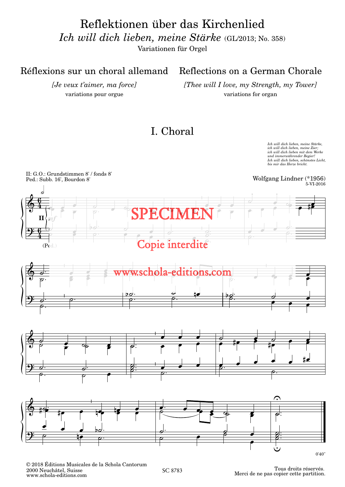Reflektionen über das Kirchenlied *Ich will dich lieben, meine Stärke* (GL/2013; No. 358)

Variationen für Orgel

#### Réflexions sur un choral allemand

*[Je veux t'aimer, ma force]* variations pour orgue

#### Reflections on a German Chorale

*[Thee will I love, my Strength, my Tower]* variations for organ

#### I. Choral

Ich will dich lieben, meine Stärke,<br>ich will dich lieben, meine Zier;<br>ich will dich lieben mit dem Werke *und immerwährender Begier! Ich will dich lieben, schönstes Licht, bis mir das Herze bricht.*



© 2018 Éditions Musicales de la Schola Cantorum 2000 Neuchâtel, Suisse www.schola-editions.com

Tous droits réservés. Merci de ne pas copier cette partition.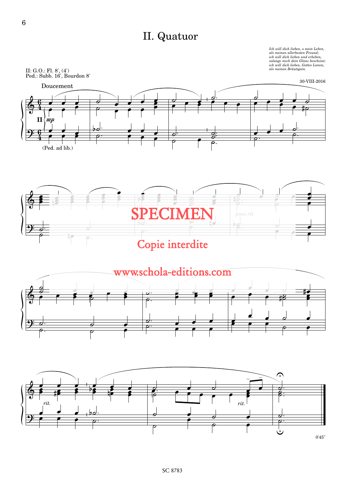### II. Quatuor

Ich will dich lieben, o mein Leben,<br>als meinen allerbesten Freund;<br>ich will dich lieben und erheben,<br>solange mich dein Glanz bescheint,<br>ich will dich lieben, Gottes Lamm,<br>als meinen Bräutigam.







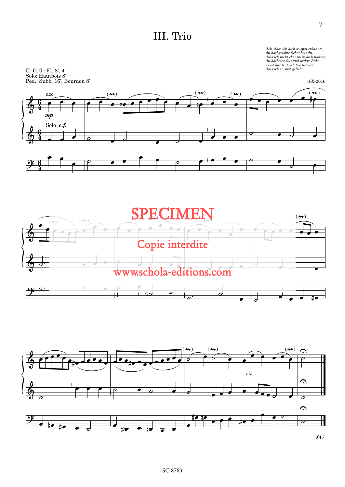#### III. Trio

II: G.O.: Fl. 8', 4' Solo: Hautbois 8' Ped.: Subb. 16', Bourdon 8' Ach, dass ich dich so spät erkannte,<br>du hochgelobte Schönheit du,<br>dass ich nicht eher mein dich nannte,<br>du höchstes Gut und wahre Ruh;<br>es ist mir leid, ich bin betrübt,<br>dass ich so spät geliebt.





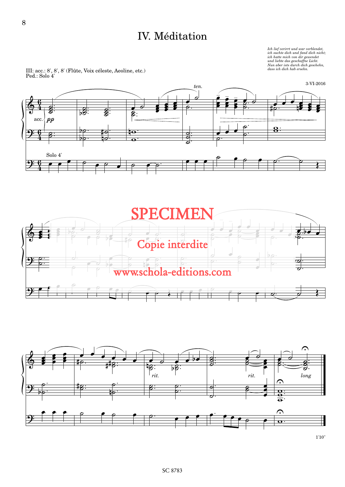#### IV. Méditation

 $\label{eq:2} \begin{array}{ll} \mbox{Lch\,\,lief\,\,verirrt\,\,und\,\,war\,\,verb\,\,verblended\,\,ich, \,\,chtet\,\,aich, \,\,chtet\,\,m\,\,chtc\,\,m\,\,ch\,\,chtc\,\,m\,\,ch\,\,chtc\,\,h\,\,chtc\,\,h\,\,chtc\,\,h\,\,chtc\,\,h\,\,chtc\,\,h\,\,d\,\,d\,\,ds\,\,s\,\,ch\,\,d\,\,ch\,\,hab\,\,erezh\,\,ab\,\,l\,\,ds. \end{array}$ 

œ  $h^2$ œ œ œ  $\frac{1}{\sqrt{2}}$ œ

3-VI-2016









1'10''

III: acc.: 8', 8', 8' (Flûte, Voix céleste, Aeoline, etc.)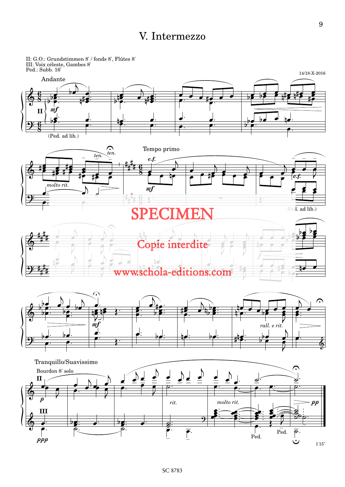#### V. Intermezzo



9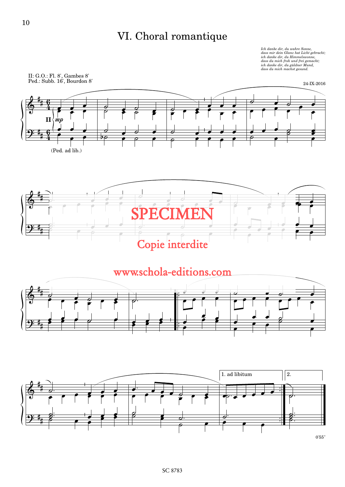### VI. Choral romantique

Ich danke dir, du wahre Sonne,<br>dass mir dein Glanz hat Licht gebracht,<br>ich danke dir, du Himmelswonne, *dass du mich froh und frei gemacht; ich danke dir, du güldner Mund, dass du mich machst gesund.*

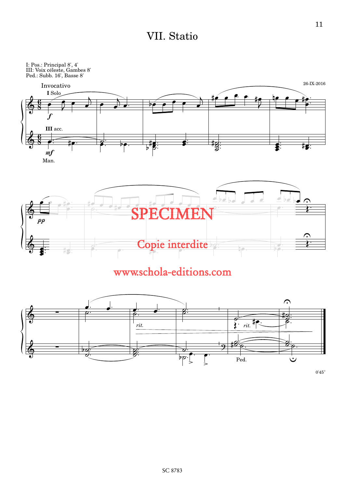#### VII. Statio



### www.schola-editions.com



0'45''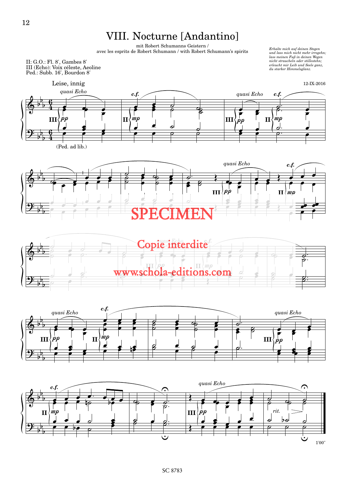#### VIII. Nocturne [Andantino]

mit Robert Schumanns Geistern / avec les esprits de Robert Schumann / with Robert Schumann's spirits

II: G.O.: Fl. 8', Gambes 8' III (Echo): Voix céleste, Aeoline Ped.: Subb. 16', Bourdon 8'

*Erhalte mich auf deinen Stegen und lass mich nicht mehr irregehn; lass meinen Fuß in deinen Wegen nicht straucheln oder stillestehn; erleucht mir Leib und Seele ganz, du starker Himmelsglanz.*









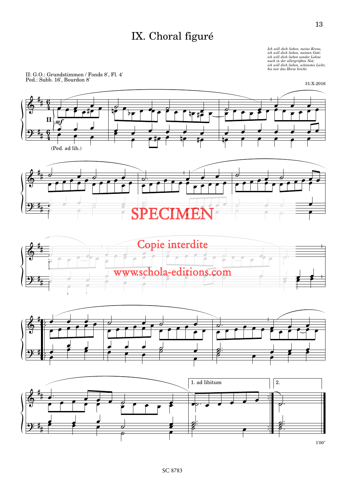### IX. Choral figuré

Ich will dich lieben, meine Krone,<br>ich will dich lieben, meinen Gott;<br>ich will dich lieben sonder Lohne *auch in der allergrößten Not; ich will dich lieben, schönstes Licht, bis mir das Herze bricht.*

II: G.O.: Grundstimmen / Fonds 8', Fl. 4' Ped.: Subb. 16', Bourdon 8'





13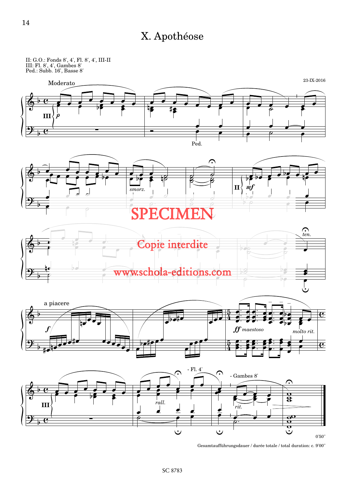### X. Apothéose

II: G.O.: Fonds 8', 4', Fl. 8', 4', III-II III: Fl. 8', 4', Gambes 8' Ped.: Subb. 16', Basse 8'



<sup>0&#</sup>x27;50''

 $\mbox{Gesamtaufführungsdauer\, / \mbox{durée totale\, / total duration: c. 9'00''}$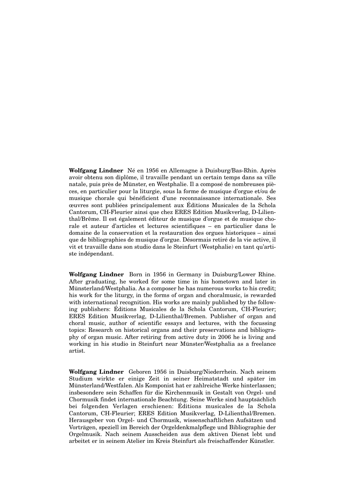**Wolfgang Lindner** Né en 1956 en Allemagne à Duisburg/Bas-Rhin. Après avoir obtenu son diplôme, il travaille pendant un certain temps dans sa ville natale, puis près de Münster, en Westphalie. Il a composé de nombreuses pièces, en particulier pour la liturgie, sous la forme de musique d'orgue et/ou de musique chorale qui bénéficient d'une reconnaissance internationale. Ses œuvres sont publiées principalement aux Éditions Musicales de la Schola Cantorum, CH-Fleurier ainsi que chez ERES Edition Musikverlag, D-Lilienthal/Brême. Il est également éditeur de musique d'orgue et de musique chorale et auteur d'articles et lectures scientifiques – en particulier dans le domaine de la conservation et la restauration des orgues historiques – ainsi que de bibliographies de musique d'orgue. Désormais retiré de la vie active, il vit et travaille dans son studio dans le Steinfurt (Westphalie) en tant qu'artiste indépendant.

**Wolfgang Lindner** Born in 1956 in Germany in Duisburg/Lower Rhine. After graduating, he worked for some time in his hometown and later in Münsterland/Westphalia. As a composer he has numerous works to his credit; his work for the liturgy, in the forms of organ and choralmusic, is rewarded with international recognition. His works are mainly published by the following publishers: Éditions Musicales de la Schola Cantorum, CH-Fleurier; ERES Edition Musikverlag, D-Lilienthal/Bremen. Publisher of organ and choral music, author of scientific essays and lectures, with the focussing topics: Research on historical organs and their preservations and bibliography of organ music. After retiring from active duty in 2006 he is living and working in his studio in Steinfurt near Münster/Westphalia as a freelance artist.

**Wolfgang Lindner** Geboren 1956 in Duisburg/Niederrhein. Nach seinem Studium wirkte er einige Zeit in seiner Heimatstadt und später im Münsterland/Westfalen. Als Komponist hat er zahlreiche Werke hinterlassen; insbesondere sein Schaffen für die Kirchenmusik in Gestalt von Orgel- und Chormusik findet internationale Beachtung. Seine Werke sind hauptsächlich bei folgenden Verlagen erschienen: Éditions musicales de la Schola Cantorum, CH-Fleurier; ERES Edition Musikverlag, D-Lilienthal/Bremen. Herausgeber von Orgel- und Chormusik, wissenschaftlichen Aufsätzen und Vorträgen, speziell im Bereich der Orgeldenkmalpflege und Bibliographie der Orgelmusik. Nach seinem Ausscheiden aus dem aktiven Dienst lebt und arbeitet er in seinem Atelier im Kreis Steinfurt als freischaffender Künstler.